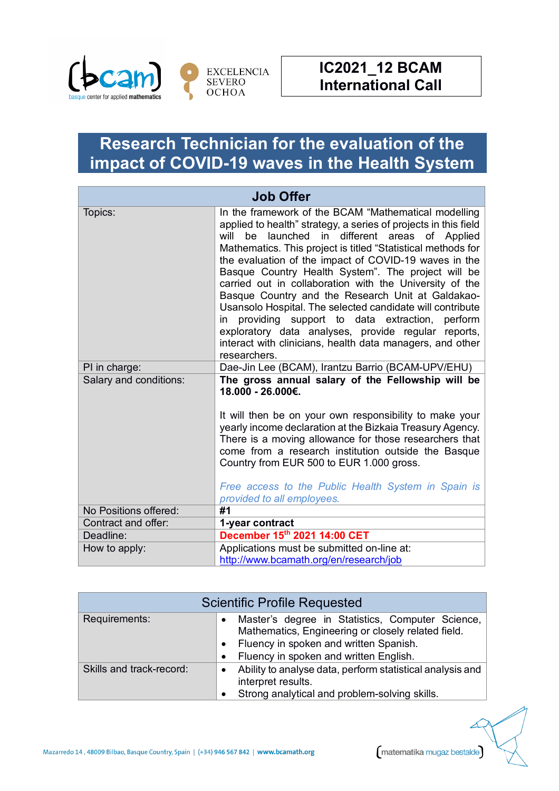

## **Research Technician for the evaluation of the impact of COVID-19 waves in the Health System**

| <b>Job Offer</b>       |                                                                                                                                                                                                                                                                                                                                                                                                                                                                                                                                                                                                                                                                                                                                  |  |
|------------------------|----------------------------------------------------------------------------------------------------------------------------------------------------------------------------------------------------------------------------------------------------------------------------------------------------------------------------------------------------------------------------------------------------------------------------------------------------------------------------------------------------------------------------------------------------------------------------------------------------------------------------------------------------------------------------------------------------------------------------------|--|
| Topics:                | In the framework of the BCAM "Mathematical modelling<br>applied to health" strategy, a series of projects in this field<br>be launched in different areas of Applied<br>will<br>Mathematics. This project is titled "Statistical methods for<br>the evaluation of the impact of COVID-19 waves in the<br>Basque Country Health System". The project will be<br>carried out in collaboration with the University of the<br>Basque Country and the Research Unit at Galdakao-<br>Usansolo Hospital. The selected candidate will contribute<br>in providing support to data extraction, perform<br>exploratory data analyses, provide regular reports,<br>interact with clinicians, health data managers, and other<br>researchers. |  |
| PI in charge:          | Dae-Jin Lee (BCAM), Irantzu Barrio (BCAM-UPV/EHU)                                                                                                                                                                                                                                                                                                                                                                                                                                                                                                                                                                                                                                                                                |  |
| Salary and conditions: | The gross annual salary of the Fellowship will be<br>18.000 - 26.000€.<br>It will then be on your own responsibility to make your<br>yearly income declaration at the Bizkaia Treasury Agency.<br>There is a moving allowance for those researchers that<br>come from a research institution outside the Basque<br>Country from EUR 500 to EUR 1.000 gross.<br>Free access to the Public Health System in Spain is<br>provided to all employees.                                                                                                                                                                                                                                                                                 |  |
| No Positions offered:  | #1                                                                                                                                                                                                                                                                                                                                                                                                                                                                                                                                                                                                                                                                                                                               |  |
| Contract and offer:    | 1-year contract                                                                                                                                                                                                                                                                                                                                                                                                                                                                                                                                                                                                                                                                                                                  |  |
| Deadline:              | December 15th 2021 14:00 CET                                                                                                                                                                                                                                                                                                                                                                                                                                                                                                                                                                                                                                                                                                     |  |
| How to apply:          | Applications must be submitted on-line at:                                                                                                                                                                                                                                                                                                                                                                                                                                                                                                                                                                                                                                                                                       |  |
|                        | http://www.bcamath.org/en/research/job                                                                                                                                                                                                                                                                                                                                                                                                                                                                                                                                                                                                                                                                                           |  |

| <b>Scientific Profile Requested</b> |                                                                                                                                                                                            |  |
|-------------------------------------|--------------------------------------------------------------------------------------------------------------------------------------------------------------------------------------------|--|
| Requirements:                       | Master's degree in Statistics, Computer Science,<br>Mathematics, Engineering or closely related field.<br>Fluency in spoken and written Spanish.<br>Fluency in spoken and written English. |  |
| Skills and track-record:            | Ability to analyse data, perform statistical analysis and<br>interpret results.<br>Strong analytical and problem-solving skills.                                                           |  |

matematika mugaz bestalde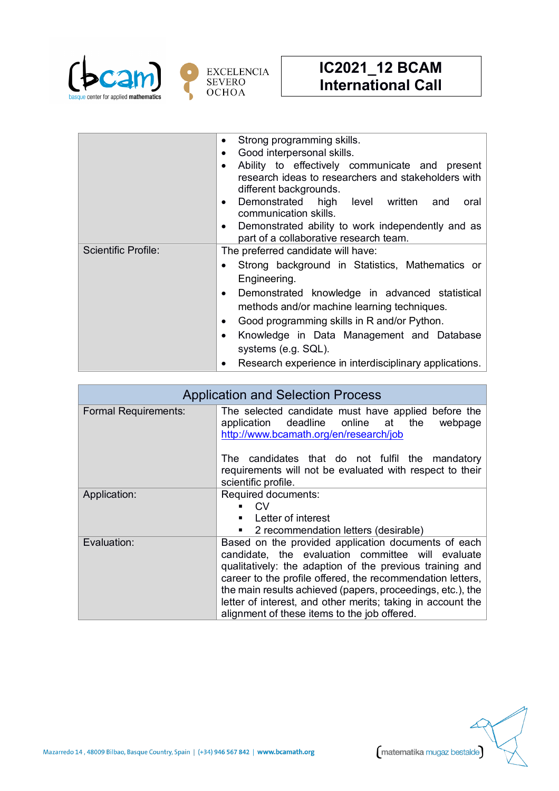

|                            | Strong programming skills.<br>Good interpersonal skills.<br>Ability to effectively communicate and present<br>research ideas to researchers and stakeholders with<br>different backgrounds.<br>Demonstrated high level written<br>and<br>oral<br>communication skills.<br>Demonstrated ability to work independently and as |
|----------------------------|-----------------------------------------------------------------------------------------------------------------------------------------------------------------------------------------------------------------------------------------------------------------------------------------------------------------------------|
|                            | part of a collaborative research team.                                                                                                                                                                                                                                                                                      |
| <b>Scientific Profile:</b> | The preferred candidate will have:                                                                                                                                                                                                                                                                                          |
|                            | Strong background in Statistics, Mathematics or<br>Engineering.                                                                                                                                                                                                                                                             |
|                            | Demonstrated knowledge in advanced statistical<br>methods and/or machine learning techniques.                                                                                                                                                                                                                               |
|                            | Good programming skills in R and/or Python.                                                                                                                                                                                                                                                                                 |
|                            | Knowledge in Data Management and Database<br>systems (e.g. SQL).                                                                                                                                                                                                                                                            |
|                            | Research experience in interdisciplinary applications.                                                                                                                                                                                                                                                                      |

| <b>Application and Selection Process</b> |                                                                                                                                                                                                                                                                                                                                                                                                                                                              |
|------------------------------------------|--------------------------------------------------------------------------------------------------------------------------------------------------------------------------------------------------------------------------------------------------------------------------------------------------------------------------------------------------------------------------------------------------------------------------------------------------------------|
| <b>Formal Requirements:</b>              | The selected candidate must have applied before the<br>application deadline online at the<br>webpage<br>http://www.bcamath.org/en/research/job                                                                                                                                                                                                                                                                                                               |
|                                          | The candidates that do not fulfil the mandatory<br>requirements will not be evaluated with respect to their<br>scientific profile.                                                                                                                                                                                                                                                                                                                           |
| Application:                             | Required documents:<br>CV.<br>Letter of interest                                                                                                                                                                                                                                                                                                                                                                                                             |
| Evaluation:                              | 2 recommendation letters (desirable)<br>п<br>Based on the provided application documents of each<br>candidate, the evaluation committee will evaluate<br>qualitatively: the adaption of the previous training and<br>career to the profile offered, the recommendation letters,<br>the main results achieved (papers, proceedings, etc.), the<br>letter of interest, and other merits; taking in account the<br>alignment of these items to the job offered. |



matematika mugaz bestalde